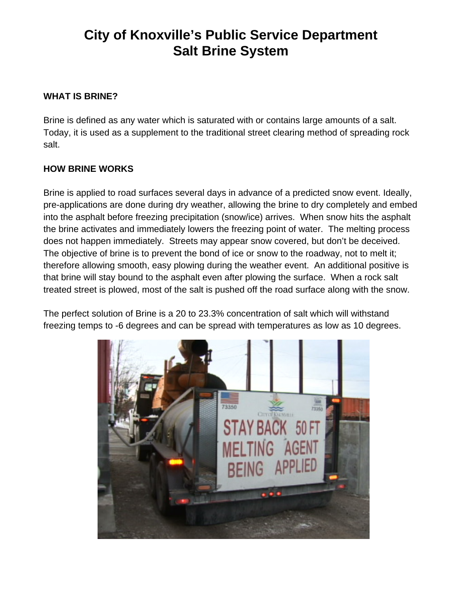## **City of Knoxville's Public Service Department Salt Brine System**

## **WHAT IS BRINE?**

Brine is defined as any water which is saturated with or contains large amounts of a salt. Today, it is used as a supplement to the traditional street clearing method of spreading rock salt.

## **HOW BRINE WORKS**

Brine is applied to road surfaces several days in advance of a predicted snow event. Ideally, pre-applications are done during dry weather, allowing the brine to dry completely and embed into the asphalt before freezing precipitation (snow/ice) arrives. When snow hits the asphalt the brine activates and immediately lowers the freezing point of water. The melting process does not happen immediately. Streets may appear snow covered, but don't be deceived. The objective of brine is to prevent the bond of ice or snow to the roadway, not to melt it; therefore allowing smooth, easy plowing during the weather event. An additional positive is that brine will stay bound to the asphalt even after plowing the surface. When a rock salt treated street is plowed, most of the salt is pushed off the road surface along with the snow.

The perfect solution of Brine is a 20 to 23.3% concentration of salt which will withstand freezing temps to -6 degrees and can be spread with temperatures as low as 10 degrees.